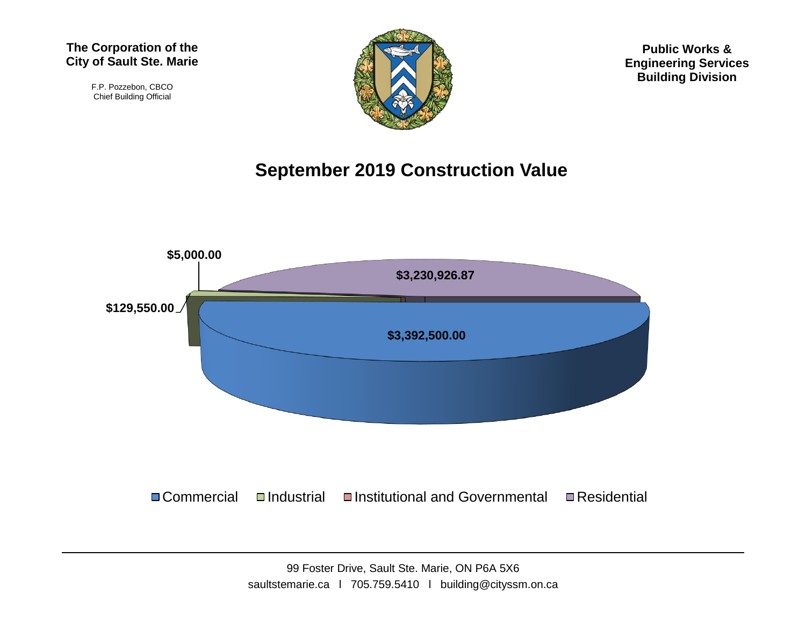F.P. Pozzebon, CBCO Chief Building Official



**Public Works & Engineering Services Building Division**

## **September 2019 Construction Value**

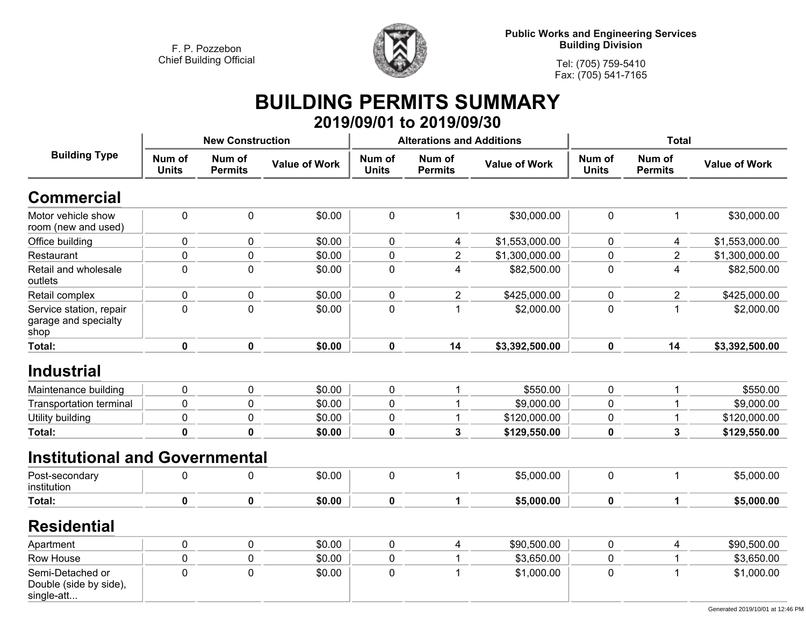

**Tel: (705) 759-5410Fax: (705) 541-7165**

## **BUILDING PERMITS SUMMARY 2019/09/01 to 2019/09/30**

| <b>Building Type</b>                                     |                        | <b>New Construction</b>  |                      |                        | <b>Alterations and Additions</b> |                      | <b>Total</b>           |                          |                      |
|----------------------------------------------------------|------------------------|--------------------------|----------------------|------------------------|----------------------------------|----------------------|------------------------|--------------------------|----------------------|
|                                                          | Num of<br><b>Units</b> | Num of<br><b>Permits</b> | <b>Value of Work</b> | Num of<br><b>Units</b> | Num of<br><b>Permits</b>         | <b>Value of Work</b> | Num of<br><b>Units</b> | Num of<br><b>Permits</b> | <b>Value of Work</b> |
| <b>Commercial</b>                                        |                        |                          |                      |                        |                                  |                      |                        |                          |                      |
| Motor vehicle show<br>room (new and used)                | $\mathbf 0$            | 0                        | \$0.00               | $\mathbf 0$            | 1                                | \$30,000.00          | $\mathbf 0$            | $\mathbf{1}$             | \$30,000.00          |
| Office building                                          | 0                      | 0                        | \$0.00               | 0                      | 4                                | \$1,553,000.00       | $\mathbf 0$            | 4                        | \$1,553,000.00       |
| Restaurant                                               | $\mathbf 0$            | $\mathsf 0$              | \$0.00               | 0                      | $\boldsymbol{2}$                 | \$1,300,000.00       | $\mathbf 0$            | $\overline{2}$           | \$1,300,000.00       |
| Retail and wholesale<br>outlets                          | $\mathbf 0$            | 0                        | \$0.00               | 0                      | 4                                | \$82,500.00          | $\mathbf 0$            | $\overline{4}$           | \$82,500.00          |
| Retail complex                                           | 0                      | 0                        | \$0.00               | 0                      | $\overline{2}$                   | \$425,000.00         | $\pmb{0}$              | $\overline{2}$           | \$425,000.00         |
| Service station, repair<br>garage and specialty<br>shop  | $\mathbf 0$            | 0                        | \$0.00               | 0                      | 1                                | \$2,000.00           | $\mathbf 0$            | 1                        | \$2,000.00           |
| <b>Total:</b>                                            | $\mathbf 0$            | $\mathbf 0$              | \$0.00               | $\mathbf 0$            | 14                               | \$3,392,500.00       | $\mathbf 0$            | 14                       | \$3,392,500.00       |
| <b>Industrial</b>                                        |                        |                          |                      |                        |                                  |                      |                        |                          |                      |
| Maintenance building                                     | 0                      | 0                        | \$0.00               | $\mathbf 0$            | 1                                | \$550.00             | $\mathbf 0$            | 1                        | \$550.00             |
| <b>Transportation terminal</b>                           | 0                      | 0                        | \$0.00               | 0                      | 1                                | \$9,000.00           | $\mathbf 0$            | 1                        | \$9,000.00           |
| Utility building                                         | $\mathbf 0$            | 0                        | \$0.00               | 0                      | 1                                | \$120,000.00         | $\mathbf 0$            | 1                        | \$120,000.00         |
| Total:                                                   | $\mathbf{0}$           | $\pmb{0}$                | \$0.00               | 0                      | 3                                | \$129,550.00         | $\mathbf 0$            | $\mathbf{3}$             | \$129,550.00         |
| <b>Institutional and Governmental</b>                    |                        |                          |                      |                        |                                  |                      |                        |                          |                      |
| Post-secondary<br>institution                            | 0                      | 0                        | \$0.00               | 0                      | $\mathbf 1$                      | \$5,000.00           | $\mathbf 0$            | $\mathbf{1}$             | \$5,000.00           |
| Total:                                                   | $\mathbf 0$            | $\mathbf 0$              | \$0.00               | 0                      | $\mathbf{1}$                     | \$5,000.00           | $\mathbf 0$            | $\mathbf 1$              | \$5,000.00           |
| <b>Residential</b>                                       |                        |                          |                      |                        |                                  |                      |                        |                          |                      |
| Apartment                                                | 0                      | 0                        | \$0.00               | 0                      | 4                                | \$90,500.00          | $\mathbf 0$            | $\overline{\mathbf{4}}$  | \$90,500.00          |
| Row House                                                | 0                      | $\mathsf 0$              | \$0.00               | 0                      | 1                                | \$3,650.00           | $\pmb{0}$              | 1                        | \$3,650.00           |
| Semi-Detached or<br>Double (side by side),<br>single-att | $\mathbf 0$            | 0                        | \$0.00               | $\mathbf 0$            | 1                                | \$1,000.00           | $\mathbf 0$            |                          | \$1,000.00           |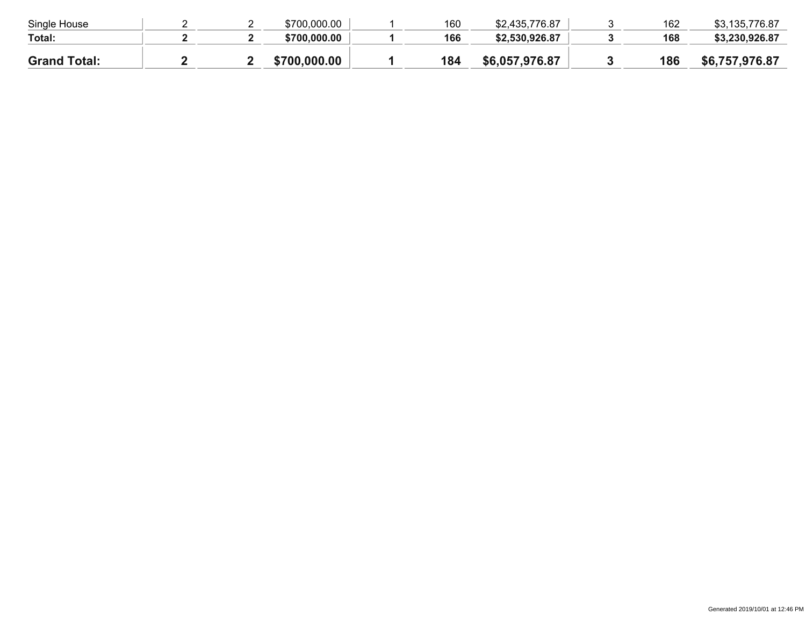| \$700,000.00 |     |                |     |                |
|--------------|-----|----------------|-----|----------------|
|              | 166 | \$2,530,926.87 | 168 | \$3,230,926.87 |
| \$700,000,00 | 184 | \$6,057,976.87 | 186 | \$6,757,976.87 |
|              |     |                |     |                |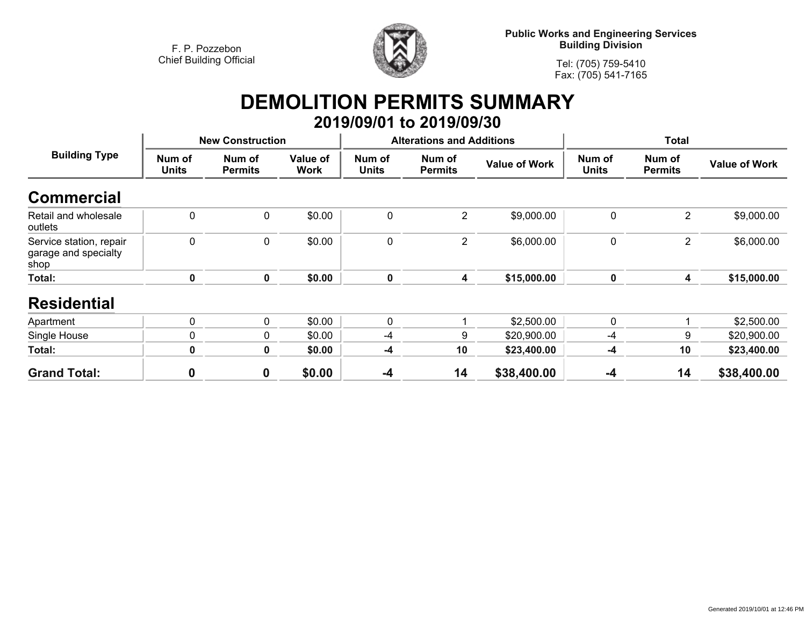

**Public Works and Engineering Services Building Division**

**Tel: (705) 759-5410Fax: (705) 541-7165**

## **DEMOLITION PERMITS SUMMARY 2019/09/01 to 2019/09/30**

| <b>Building Type</b>                                    |                        | <b>New Construction</b>  |                  |                        | <b>Alterations and Additions</b> |                      | <b>Total</b>           |                          |                      |
|---------------------------------------------------------|------------------------|--------------------------|------------------|------------------------|----------------------------------|----------------------|------------------------|--------------------------|----------------------|
|                                                         | Num of<br><b>Units</b> | Num of<br><b>Permits</b> | Value of<br>Work | Num of<br><b>Units</b> | Num of<br><b>Permits</b>         | <b>Value of Work</b> | Num of<br><b>Units</b> | Num of<br><b>Permits</b> | <b>Value of Work</b> |
| <b>Commercial</b>                                       |                        |                          |                  |                        |                                  |                      |                        |                          |                      |
| Retail and wholesale<br>outlets                         | $\mathbf 0$            | $\mathbf 0$              | \$0.00           | $\mathbf{0}$           | $\overline{2}$                   | \$9,000.00           | $\mathbf 0$            | $\overline{2}$           | \$9,000.00           |
| Service station, repair<br>garage and specialty<br>shop | $\mathbf 0$            | 0                        | \$0.00           | $\mathbf 0$            | $\overline{2}$                   | \$6,000.00           | $\mathbf 0$            | $\overline{2}$           | \$6,000.00           |
| Total:                                                  | 0                      | 0                        | \$0.00           | $\mathbf 0$            | 4                                | \$15,000.00          | $\mathbf 0$            | 4                        | \$15,000.00          |
| <b>Residential</b>                                      |                        |                          |                  |                        |                                  |                      |                        |                          |                      |
| Apartment                                               | $\mathbf 0$            | $\mathbf{0}$             | \$0.00           | $\mathbf{0}$           |                                  | \$2,500.00           | $\mathbf{0}$           |                          | \$2,500.00           |
| Single House                                            | 0                      | $\mathbf{0}$             | \$0.00           | -4                     | 9                                | \$20,900.00          | -4                     | 9                        | \$20,900.00          |
| Total:                                                  | 0                      | $\mathbf 0$              | \$0.00           | -4                     | 10                               | \$23,400.00          | -4                     | 10                       | \$23,400.00          |
| <b>Grand Total:</b>                                     | $\boldsymbol{0}$       | 0                        | \$0.00           | $-4$                   | 14                               | \$38,400.00          | $-4$                   | 14                       | \$38,400.00          |